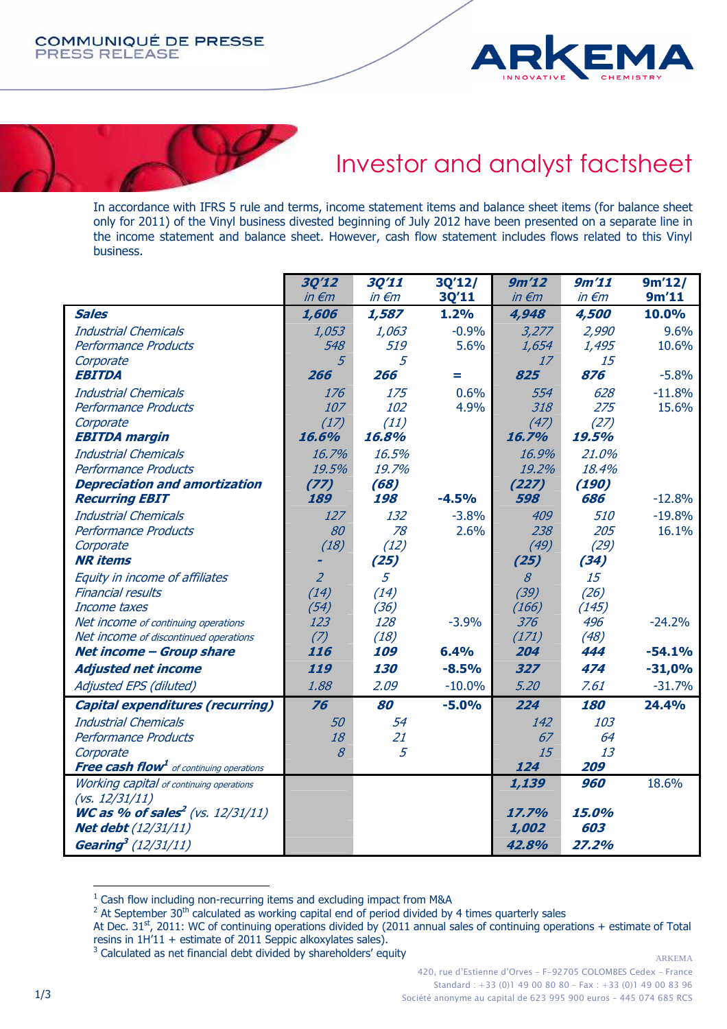



# Investor and analyst factsheet

In accordance with IFRS 5 rule and terms, income statement items and balance sheet items (for balance sheet only for 2011) of the Vinyl business divested beginning of July 2012 have been presented on a separate line in the income statement and balance sheet. However, cash flow statement includes flows related to this Vinyl business.

|                                                            | 30'12               | 30'11           | 3Q'12/   | 9m'12               | 9m'11           | 9m'12/   |
|------------------------------------------------------------|---------------------|-----------------|----------|---------------------|-----------------|----------|
|                                                            | $in \in \mathbb{m}$ | $in \epsilon$ m | 3Q'11    | $in \in \mathbb{m}$ | $in \epsilon$ m | 9m'11    |
| <b>Sales</b>                                               | 1,606               | 1,587           | 1.2%     | 4,948               | 4,500           | 10.0%    |
| <b>Industrial Chemicals</b>                                | 1,053               | 1,063           | $-0.9%$  | 3,277               | 2,990           | 9.6%     |
| Performance Products                                       | 548                 | 519             | 5.6%     | 1,654               | 1,495           | 10.6%    |
| Corporate                                                  | 5                   | 5               |          | 17                  | 15              |          |
| <b>EBITDA</b>                                              | 266                 | 266             | Ξ        | 825                 | 876             | $-5.8%$  |
| <b>Industrial Chemicals</b>                                | 176                 | 175             | 0.6%     | 554                 | 628             | $-11.8%$ |
| Performance Products                                       | 107                 | 102             | 4.9%     | 318                 | 275             | 15.6%    |
| Corporate                                                  | (17)                | (11)            |          | (47)                | (27)            |          |
| <b>EBITDA margin</b>                                       | 16.6%               | 16.8%           |          | 16.7%               | 19.5%           |          |
| <b>Industrial Chemicals</b>                                | 16.7%               | 16.5%           |          | 16.9%               | 21.0%           |          |
| Performance Products                                       | 19.5%               | 19.7%           |          | 19.2%               | 18.4%           |          |
| <b>Depreciation and amortization</b>                       | (77)                | (68)            |          | (227)               | (190)           |          |
| <b>Recurring EBIT</b>                                      | 189                 | 198             | $-4.5%$  | 598                 | 686             | $-12.8%$ |
| <b>Industrial Chemicals</b>                                | 127                 | 132             | $-3.8%$  | 409                 | 510             | $-19.8%$ |
| Performance Products                                       | 80                  | 78              | 2.6%     | 238                 | 205             | 16.1%    |
| Corporate                                                  | (18)                | (12)            |          | (49)                | (29)            |          |
| <b>NR</b> items                                            |                     | (25)            |          | (25)                | (34)            |          |
| Equity in income of affiliates                             | $\overline{2}$      | 5               |          | $\mathcal{S}$       | 15              |          |
| <b>Financial results</b>                                   | (14)                | (14)            |          | (39)                | (26)            |          |
| Income taxes                                               | (54)                | (36)            |          | (166)               | (145)           |          |
| Net income of continuing operations                        | 123                 | 128             | $-3.9%$  | 376                 | 496             | $-24.2%$ |
| Net income of discontinued operations                      | (7)                 | (18)            |          | (171)               | (48)            |          |
| <b>Net income - Group share</b>                            | 116                 | 109             | 6.4%     | 204                 | 444             | $-54.1%$ |
| <b>Adjusted net income</b>                                 | 119                 | 130             | $-8.5%$  | 327                 | 474             | $-31,0%$ |
| Adjusted EPS (diluted)                                     | 1.88                | 2.09            | $-10.0%$ | 5.20                | 7.61            | $-31.7%$ |
| <b>Capital expenditures (recurring)</b>                    | 76                  | 80              | $-5.0%$  | 224                 | 180             | 24.4%    |
| <b>Industrial Chemicals</b>                                | 50                  | 54              |          | 142                 | 103             |          |
| Performance Products                                       | 18                  | 21              |          | 67                  | 64              |          |
| Corporate                                                  | 8                   | 5               |          | 15                  | 13              |          |
| <b>Free cash flow<sup>1</sup></b> of continuing operations |                     |                 |          | 124                 | 209             |          |
| <b>Working capital</b> of continuing operations            |                     |                 |          | 1,139               | 960             | 18.6%    |
| (vs. 12/31/11)                                             |                     |                 |          |                     |                 |          |
| <b>WC as % of sales<sup>2</sup></b> (vs. $12/31/11$ )      |                     |                 |          | 17.7%               | 15.0%           |          |
| <b>Net debt</b> (12/31/11)                                 |                     |                 |          | 1,002               | 603             |          |
| <b>Gearing</b> <sup>3</sup> (12/31/11)                     |                     |                 |          | 42.8%               | 27.2%           |          |

<sup>&</sup>lt;sup>1</sup> Cash flow including non-recurring items and excluding impact from M&A

 $\overline{a}$ 

<sup>&</sup>lt;sup>2</sup> At September 30<sup>th</sup> calculated as working capital end of period divided by 4 times quarterly sales

At Dec. 31<sup>st</sup>, 2011: WC of continuing operations divided by (2011 annual sales of continuing operations + estimate of Total resins in 1H'11 + estimate of 2011 Seppic alkoxylates sales).

 $3$  Calculated as net financial debt divided by shareholders' equity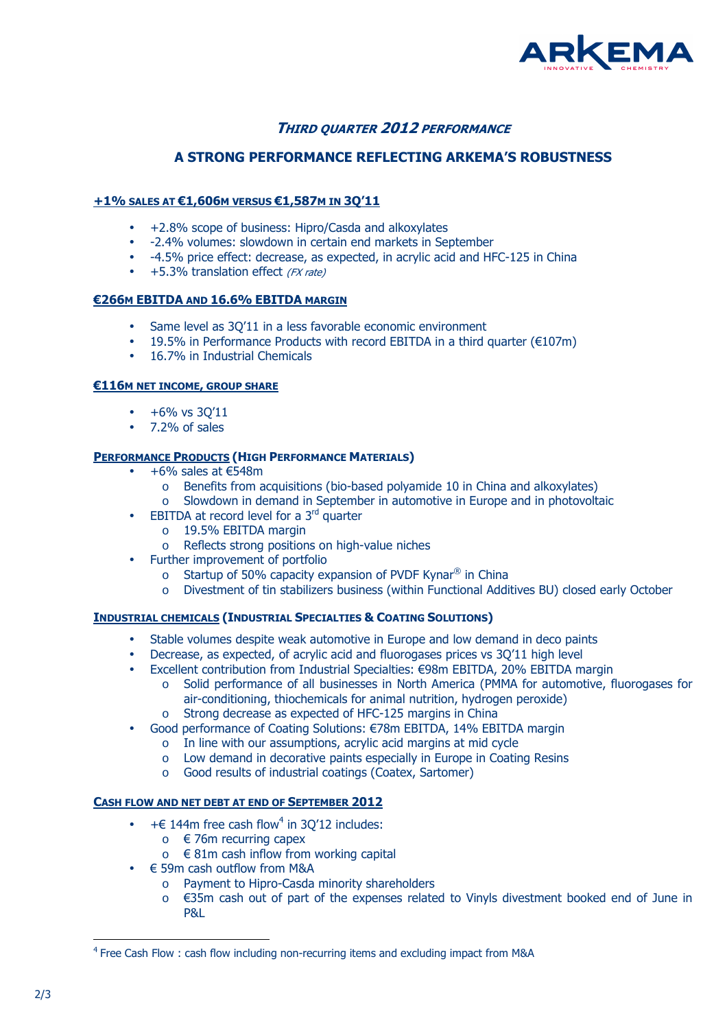

# **THIRD QUARTER 2012 PERFORMANCE**

## **A STRONG PERFORMANCE REFLECTING ARKEMA'S ROBUSTNESS**

## **+1% SALES AT €1,606M VERSUS €1,587M IN 3Q'11**

- +2.8% scope of business: Hipro/Casda and alkoxylates
- -2.4% volumes: slowdown in certain end markets in September
- -4.5% price effect: decrease, as expected, in acrylic acid and HFC-125 in China
- +5.3% translation effect (FX rate)

### **€266M EBITDA AND 16.6% EBITDA MARGIN**

- Same level as 3Q'11 in a less favorable economic environment
- 19.5% in Performance Products with record EBITDA in a third quarter  $(\epsilon 107m)$
- 16.7% in Industrial Chemicals

### **€116M NET INCOME, GROUP SHARE**

- $+6\%$  vs 30'11
- 7.2% of sales

### **PERFORMANCE PRODUCTS (HIGH PERFORMANCE MATERIALS)**

- $\bullet$  +6% sales at  $\epsilon$ 548m
	- o Benefits from acquisitions (bio-based polyamide 10 in China and alkoxylates)
	- o Slowdown in demand in September in automotive in Europe and in photovoltaic
- EBITDA at record level for a  $3<sup>rd</sup>$  quarter
	- o 19.5% EBITDA margin
	- o Reflects strong positions on high-value niches
- Further improvement of portfolio
	- o Startup of 50% capacity expansion of PVDF Kynar<sup>®</sup> in China
	- o Divestment of tin stabilizers business (within Functional Additives BU) closed early October

### **INDUSTRIAL CHEMICALS (INDUSTRIAL SPECIALTIES & COATING SOLUTIONS)**

- Stable volumes despite weak automotive in Europe and low demand in deco paints
- Decrease, as expected, of acrylic acid and fluorogases prices vs 3Q'11 high level
- Excellent contribution from Industrial Specialties: €98m EBITDA, 20% EBITDA margin
	- o Solid performance of all businesses in North America (PMMA for automotive, fluorogases for air-conditioning, thiochemicals for animal nutrition, hydrogen peroxide)
	- o Strong decrease as expected of HFC-125 margins in China
- Good performance of Coating Solutions: €78m EBITDA, 14% EBITDA margin
	- o In line with our assumptions, acrylic acid margins at mid cycle
	- o Low demand in decorative paints especially in Europe in Coating Resins
	- o Good results of industrial coatings (Coatex, Sartomer)

## **CASH FLOW AND NET DEBT AT END OF SEPTEMBER 2012**

- $\bullet$  +  $\epsilon$  144m free cash flow<sup>4</sup> in 3Q'12 includes:
	- $\circ$   $\in$  76m recurring capex
	- $\circ$   $\in$  81m cash inflow from working capital
- $\bullet$   $\in$  59m cash outflow from M&A
	- o Payment to Hipro-Casda minority shareholders
	- o €35m cash out of part of the expenses related to Vinyls divestment booked end of June in P&L

l

<sup>&</sup>lt;sup>4</sup> Free Cash Flow : cash flow including non-recurring items and excluding impact from M&A